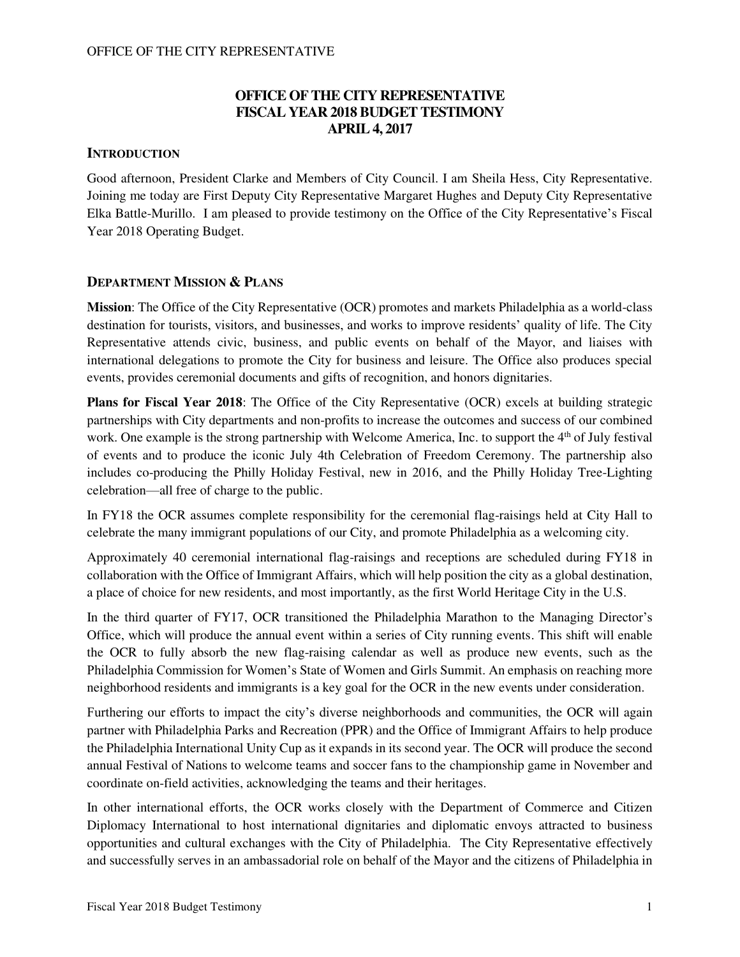## **OFFICE OF THE CITY REPRESENTATIVE FISCAL YEAR 2018 BUDGET TESTIMONY APRIL 4, 2017**

### **INTRODUCTION**

Good afternoon, President Clarke and Members of City Council. I am Sheila Hess, City Representative. Joining me today are First Deputy City Representative Margaret Hughes and Deputy City Representative Elka Battle-Murillo. I am pleased to provide testimony on the Office of the City Representative's Fiscal Year 2018 Operating Budget.

#### **DEPARTMENT MISSION & PLANS**

**Mission**: The Office of the City Representative (OCR) promotes and markets Philadelphia as a world-class destination for tourists, visitors, and businesses, and works to improve residents' quality of life. The City Representative attends civic, business, and public events on behalf of the Mayor, and liaises with international delegations to promote the City for business and leisure. The Office also produces special events, provides ceremonial documents and gifts of recognition, and honors dignitaries.

**Plans for Fiscal Year 2018**: The Office of the City Representative (OCR) excels at building strategic partnerships with City departments and non-profits to increase the outcomes and success of our combined work. One example is the strong partnership with Welcome America, Inc. to support the 4<sup>th</sup> of July festival of events and to produce the iconic July 4th Celebration of Freedom Ceremony. The partnership also includes co-producing the Philly Holiday Festival, new in 2016, and the Philly Holiday Tree-Lighting celebration—all free of charge to the public.

In FY18 the OCR assumes complete responsibility for the ceremonial flag-raisings held at City Hall to celebrate the many immigrant populations of our City, and promote Philadelphia as a welcoming city.

Approximately 40 ceremonial international flag-raisings and receptions are scheduled during FY18 in collaboration with the Office of Immigrant Affairs, which will help position the city as a global destination, a place of choice for new residents, and most importantly, as the first World Heritage City in the U.S.

In the third quarter of FY17, OCR transitioned the Philadelphia Marathon to the Managing Director's Office, which will produce the annual event within a series of City running events. This shift will enable the OCR to fully absorb the new flag-raising calendar as well as produce new events, such as the Philadelphia Commission for Women's State of Women and Girls Summit. An emphasis on reaching more neighborhood residents and immigrants is a key goal for the OCR in the new events under consideration.

Furthering our efforts to impact the city's diverse neighborhoods and communities, the OCR will again partner with Philadelphia Parks and Recreation (PPR) and the Office of Immigrant Affairs to help produce the Philadelphia International Unity Cup as it expands in its second year. The OCR will produce the second annual Festival of Nations to welcome teams and soccer fans to the championship game in November and coordinate on-field activities, acknowledging the teams and their heritages.

In other international efforts, the OCR works closely with the Department of Commerce and Citizen Diplomacy International to host international dignitaries and diplomatic envoys attracted to business opportunities and cultural exchanges with the City of Philadelphia. The City Representative effectively and successfully serves in an ambassadorial role on behalf of the Mayor and the citizens of Philadelphia in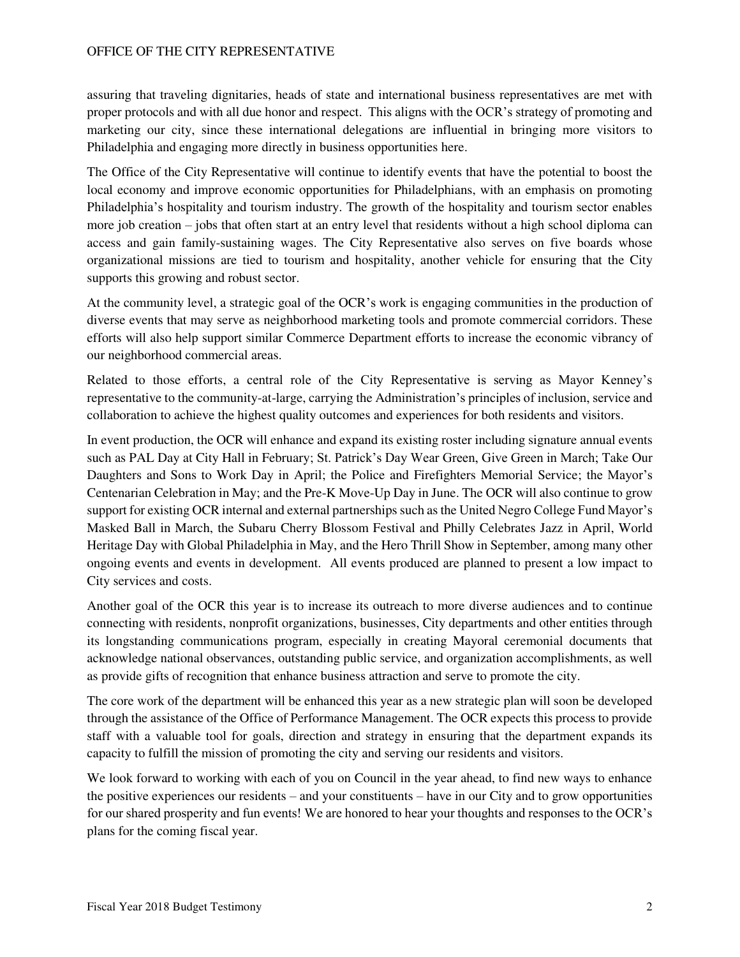assuring that traveling dignitaries, heads of state and international business representatives are met with proper protocols and with all due honor and respect. This aligns with the OCR's strategy of promoting and marketing our city, since these international delegations are influential in bringing more visitors to Philadelphia and engaging more directly in business opportunities here.

The Office of the City Representative will continue to identify events that have the potential to boost the local economy and improve economic opportunities for Philadelphians, with an emphasis on promoting Philadelphia's hospitality and tourism industry. The growth of the hospitality and tourism sector enables more job creation – jobs that often start at an entry level that residents without a high school diploma can access and gain family-sustaining wages. The City Representative also serves on five boards whose organizational missions are tied to tourism and hospitality, another vehicle for ensuring that the City supports this growing and robust sector.

At the community level, a strategic goal of the OCR's work is engaging communities in the production of diverse events that may serve as neighborhood marketing tools and promote commercial corridors. These efforts will also help support similar Commerce Department efforts to increase the economic vibrancy of our neighborhood commercial areas.

Related to those efforts, a central role of the City Representative is serving as Mayor Kenney's representative to the community-at-large, carrying the Administration's principles of inclusion, service and collaboration to achieve the highest quality outcomes and experiences for both residents and visitors.

In event production, the OCR will enhance and expand its existing roster including signature annual events such as PAL Day at City Hall in February; St. Patrick's Day Wear Green, Give Green in March; Take Our Daughters and Sons to Work Day in April; the Police and Firefighters Memorial Service; the Mayor's Centenarian Celebration in May; and the Pre-K Move-Up Day in June. The OCR will also continue to grow support for existing OCR internal and external partnerships such as the United Negro College Fund Mayor's Masked Ball in March, the Subaru Cherry Blossom Festival and Philly Celebrates Jazz in April, World Heritage Day with Global Philadelphia in May, and the Hero Thrill Show in September, among many other ongoing events and events in development. All events produced are planned to present a low impact to City services and costs.

Another goal of the OCR this year is to increase its outreach to more diverse audiences and to continue connecting with residents, nonprofit organizations, businesses, City departments and other entities through its longstanding communications program, especially in creating Mayoral ceremonial documents that acknowledge national observances, outstanding public service, and organization accomplishments, as well as provide gifts of recognition that enhance business attraction and serve to promote the city.

The core work of the department will be enhanced this year as a new strategic plan will soon be developed through the assistance of the Office of Performance Management. The OCR expects this process to provide staff with a valuable tool for goals, direction and strategy in ensuring that the department expands its capacity to fulfill the mission of promoting the city and serving our residents and visitors.

We look forward to working with each of you on Council in the year ahead, to find new ways to enhance the positive experiences our residents – and your constituents – have in our City and to grow opportunities for our shared prosperity and fun events! We are honored to hear your thoughts and responses to the OCR's plans for the coming fiscal year.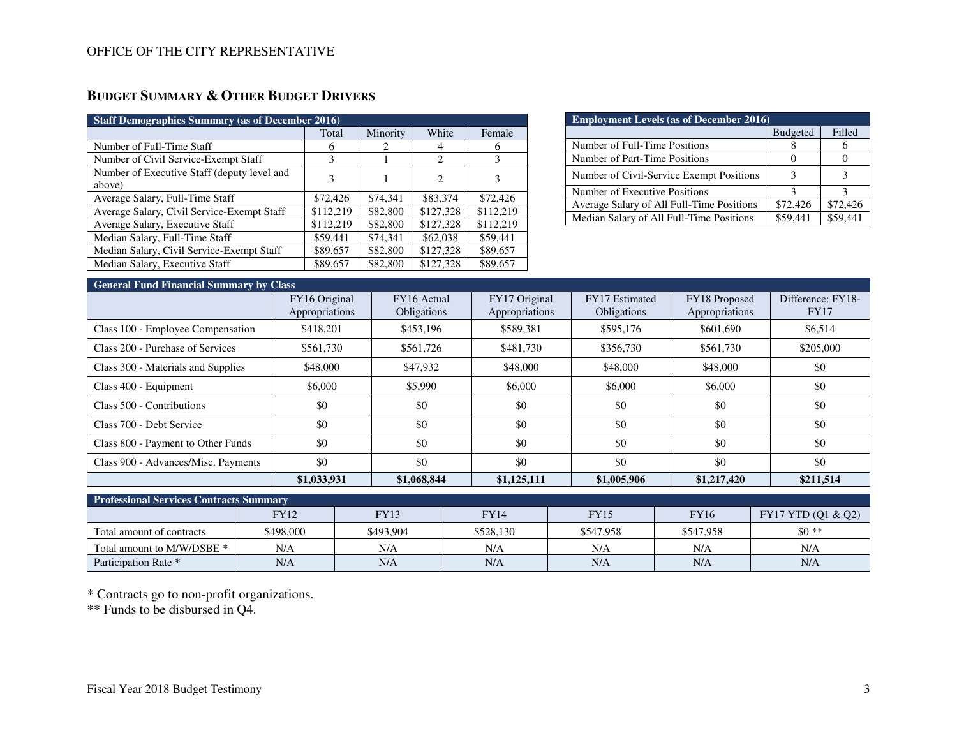# **BUDGET SUMMARY & OTHER BUDGET DRIVERS**

| <b>Staff Demographics Summary (as of December 2016)</b> |           |          |                             |           |  |  |  |  |  |
|---------------------------------------------------------|-----------|----------|-----------------------------|-----------|--|--|--|--|--|
|                                                         | Total     | Minority | White                       | Female    |  |  |  |  |  |
| Number of Full-Time Staff                               | 6         | 2        | 4                           | 6         |  |  |  |  |  |
| Number of Civil Service-Exempt Staff                    | 3         |          | 2                           | 3         |  |  |  |  |  |
| Number of Executive Staff (deputy level and             | 3         |          | $\mathcal{D}_{\mathcal{L}}$ |           |  |  |  |  |  |
| above)                                                  |           |          |                             |           |  |  |  |  |  |
| Average Salary, Full-Time Staff                         | \$72,426  | \$74.341 | \$83,374                    | \$72,426  |  |  |  |  |  |
| Average Salary, Civil Service-Exempt Staff              | \$112,219 | \$82,800 | \$127,328                   | \$112.219 |  |  |  |  |  |
| Average Salary, Executive Staff                         | \$112,219 | \$82,800 | \$127,328                   | \$112.219 |  |  |  |  |  |
| Median Salary, Full-Time Staff                          | \$59,441  | \$74.341 | \$62,038                    | \$59,441  |  |  |  |  |  |
| Median Salary, Civil Service-Exempt Staff               | \$89,657  | \$82,800 | \$127,328                   | \$89,657  |  |  |  |  |  |
| Median Salary, Executive Staff                          | \$89,657  | \$82,800 | \$127,328                   | \$89,657  |  |  |  |  |  |

| <b>Employment Levels (as of December 2016)</b> |                 |          |  |  |  |  |  |
|------------------------------------------------|-----------------|----------|--|--|--|--|--|
|                                                | <b>Budgeted</b> | Filled   |  |  |  |  |  |
| Number of Full-Time Positions                  |                 | h        |  |  |  |  |  |
| Number of Part-Time Positions                  |                 |          |  |  |  |  |  |
| Number of Civil-Service Exempt Positions       | 3               | 3        |  |  |  |  |  |
| Number of Executive Positions                  | 2               | 2        |  |  |  |  |  |
| Average Salary of All Full-Time Positions      | \$72,426        | \$72,426 |  |  |  |  |  |
| Median Salary of All Full-Time Positions       | \$59,441        | \$59,441 |  |  |  |  |  |

### **General Fund Financial Summary by Class**

| <b>General Fund Financial Summary Dy Class</b> |                |                    |                |                    |                |                   |
|------------------------------------------------|----------------|--------------------|----------------|--------------------|----------------|-------------------|
|                                                | FY16 Original  | FY16 Actual        | FY17 Original  | FY17 Estimated     | FY18 Proposed  | Difference: FY18- |
|                                                | Appropriations | <b>Obligations</b> | Appropriations | <b>Obligations</b> | Appropriations | <b>FY17</b>       |
| Class 100 - Employee Compensation              | \$418,201      | \$453,196          | \$589,381      | \$595,176          | \$601,690      | \$6,514           |
| Class 200 - Purchase of Services               | \$561,730      | \$561,726          | \$481,730      | \$356,730          | \$561,730      | \$205,000         |
| Class 300 - Materials and Supplies             | \$48,000       | \$47,932           | \$48,000       | \$48,000           | \$48,000       | \$0               |
| Class 400 - Equipment                          | \$6,000        | \$5,990            | \$6,000        | \$6,000            | \$6,000        | \$0               |
| Class 500 - Contributions                      | \$0            | \$0                | \$0            | \$0                | \$0            | \$0               |
| Class 700 - Debt Service                       | \$0            | \$0                | \$0            | \$0                | \$0            | \$0               |
| Class 800 - Payment to Other Funds             | \$0            | \$0                | \$0            | \$0                | \$0            | \$0               |
| Class 900 - Advances/Misc. Payments            | \$0            | \$0                | \$0            | \$0                | \$0            | \$0               |
|                                                | \$1,033,931    | \$1,068,844        | \$1,125,111    | \$1,005,906        | \$1,217,420    | \$211,514         |

| <b>Professional Services Contracts Summary</b> |           |           |           |             |             |                    |  |  |  |  |
|------------------------------------------------|-----------|-----------|-----------|-------------|-------------|--------------------|--|--|--|--|
|                                                | FY12      | FY13      | FY14      | <b>FY15</b> | <b>FY16</b> | FY17 YTD (Q1 & Q2) |  |  |  |  |
| Total amount of contracts                      | \$498,000 | \$493.904 | \$528,130 | \$547,958   | \$547.958   | $$0**$             |  |  |  |  |
| Total amount to M/W/DSBE *                     | N/A       | N/A       | N/A       | N/A         | N/A         | N/A                |  |  |  |  |
| Participation Rate *                           | N/A       | N/A       | N/A       | N/A         | N/A         | N/A                |  |  |  |  |

\* Contracts go to non-profit organizations.

\*\* Funds to be disbursed in Q4.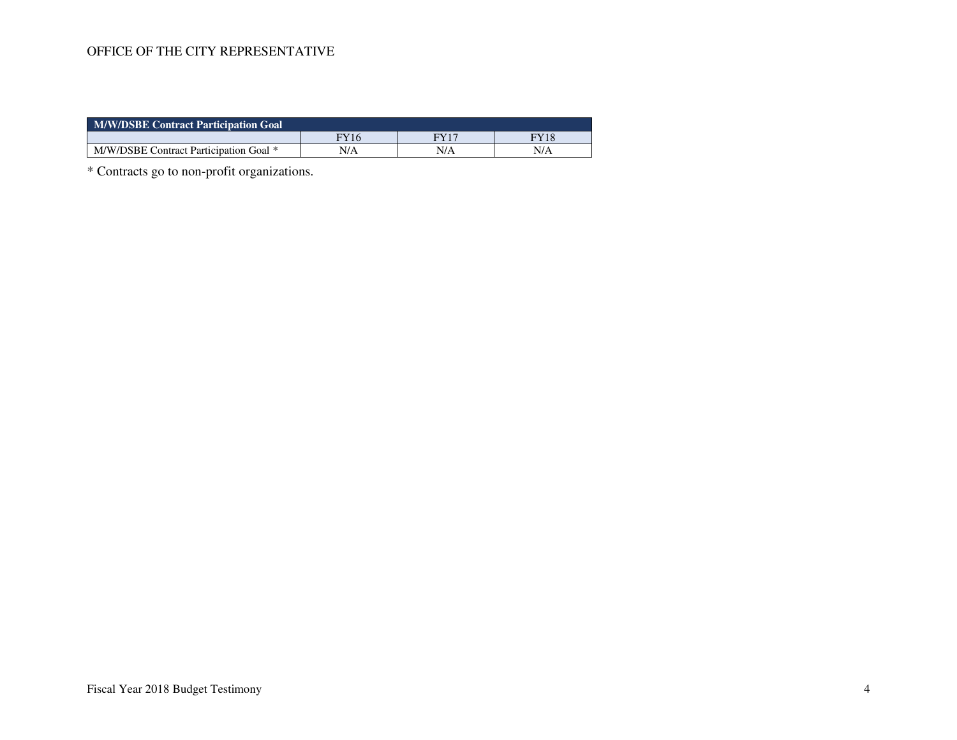| <b>M/W/DSBE Contract Participation Goal</b> |      |     |      |  |  |  |  |  |
|---------------------------------------------|------|-----|------|--|--|--|--|--|
|                                             | FY16 | EVI | FY18 |  |  |  |  |  |
| M/W/DSBE Contract Participation Goal *      | N/A  | N/A | N/A  |  |  |  |  |  |

\* Contracts go to non-profit organizations.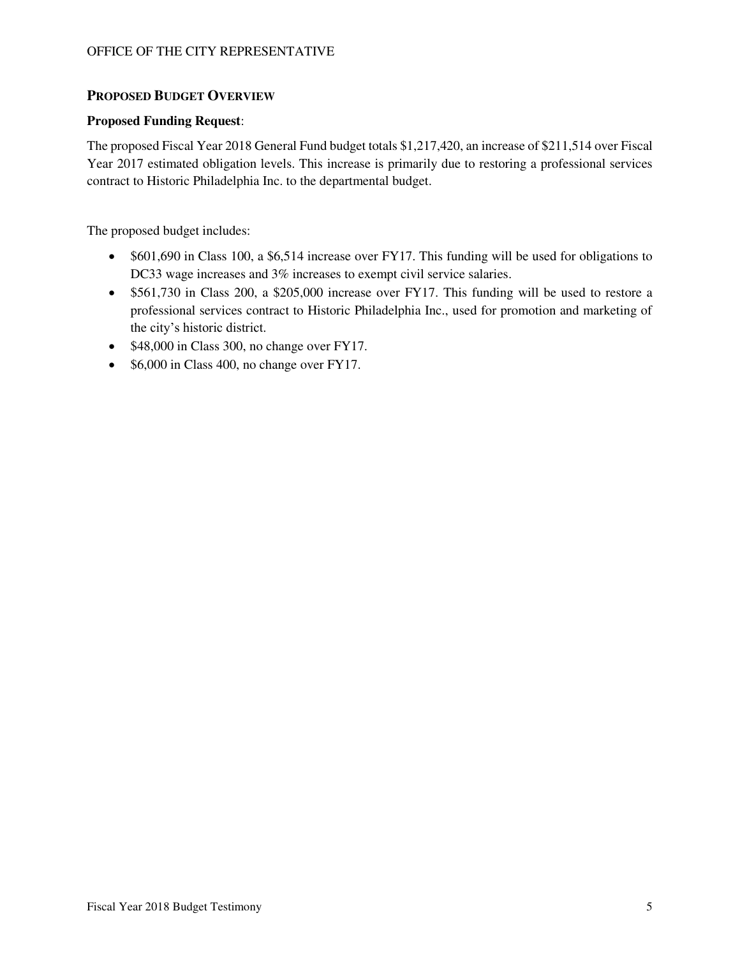#### **PROPOSED BUDGET OVERVIEW**

#### **Proposed Funding Request**:

The proposed Fiscal Year 2018 General Fund budget totals \$1,217,420, an increase of \$211,514 over Fiscal Year 2017 estimated obligation levels. This increase is primarily due to restoring a professional services contract to Historic Philadelphia Inc. to the departmental budget.

The proposed budget includes:

- \$601,690 in Class 100, a \$6,514 increase over FY17. This funding will be used for obligations to DC33 wage increases and 3% increases to exempt civil service salaries.
- \$561,730 in Class 200, a \$205,000 increase over FY17. This funding will be used to restore a professional services contract to Historic Philadelphia Inc., used for promotion and marketing of the city's historic district.
- $\bullet$  \$48,000 in Class 300, no change over FY17.
- $\bullet$  \$6,000 in Class 400, no change over FY17.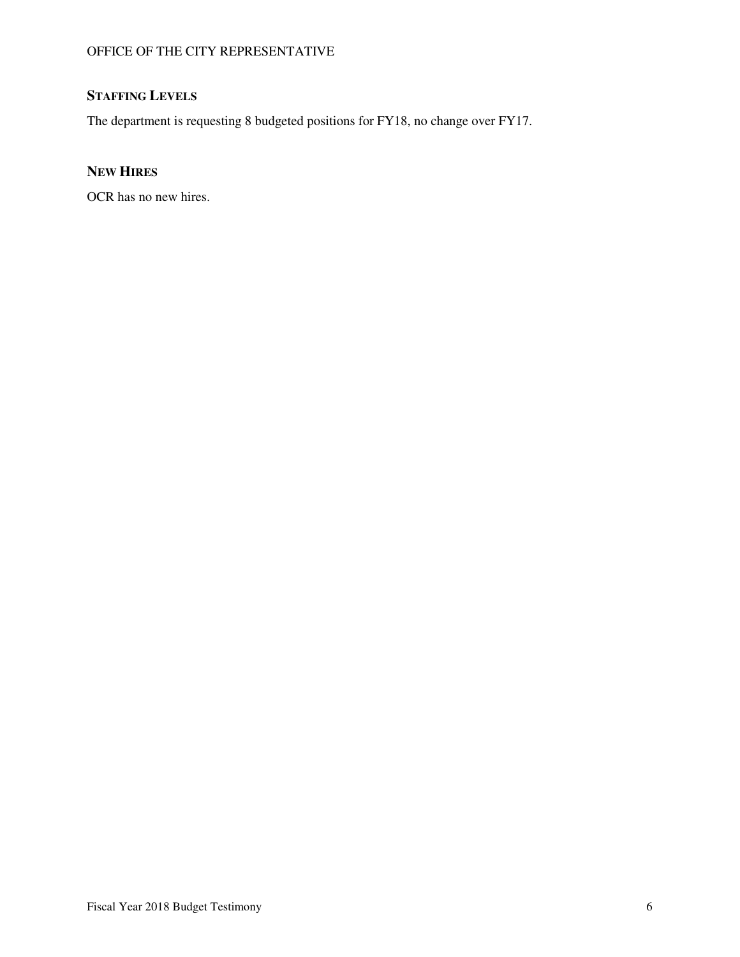# **STAFFING LEVELS**

The department is requesting 8 budgeted positions for FY18, no change over FY17.

## **NEW HIRES**

OCR has no new hires.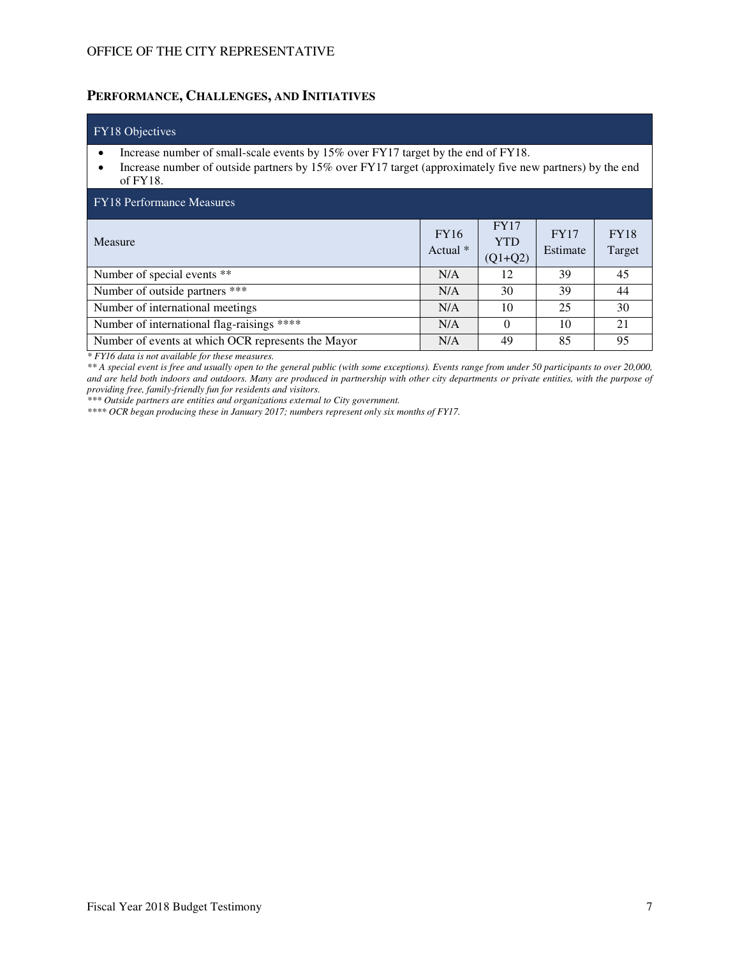## **PERFORMANCE, CHALLENGES, AND INITIATIVES**

| FY18 Objectives                                                                                                                                                                                              |                           |                                        |                         |                       |  |  |  |  |
|--------------------------------------------------------------------------------------------------------------------------------------------------------------------------------------------------------------|---------------------------|----------------------------------------|-------------------------|-----------------------|--|--|--|--|
| Increase number of small-scale events by 15% over FY17 target by the end of FY18.<br>Increase number of outside partners by 15% over FY17 target (approximately five new partners) by the end<br>of $FY18$ . |                           |                                        |                         |                       |  |  |  |  |
| <b>FY18</b> Performance Measures                                                                                                                                                                             |                           |                                        |                         |                       |  |  |  |  |
| Measure                                                                                                                                                                                                      | <b>FY16</b><br>Actual $*$ | <b>FY17</b><br><b>YTD</b><br>$(Q1+Q2)$ | <b>FY17</b><br>Estimate | <b>FY18</b><br>Target |  |  |  |  |
| Number of special events **                                                                                                                                                                                  | N/A                       | 12                                     | 39                      | 45                    |  |  |  |  |
| Number of outside partners ***                                                                                                                                                                               | N/A                       | 30                                     | 39                      | 44                    |  |  |  |  |
| Number of international meetings                                                                                                                                                                             | N/A                       | 10                                     | 25                      | 30                    |  |  |  |  |
| Number of international flag-raisings ****                                                                                                                                                                   | N/A                       | 0                                      | 10                      | 21                    |  |  |  |  |
| Number of events at which OCR represents the Mayor                                                                                                                                                           | N/A                       | 49                                     | 85                      | 95                    |  |  |  |  |

*\* FY16 data is not available for these measures.* 

*\*\* A special event is free and usually open to the general public (with some exceptions). Events range from under 50 participants to over 20,000, and are held both indoors and outdoors. Many are produced in partnership with other city departments or private entities, with the purpose of providing free, family-friendly fun for residents and visitors.* 

*\*\*\* Outside partners are entities and organizations external to City government.* 

*\*\*\*\* OCR began producing these in January 2017; numbers represent only six months of FY17.*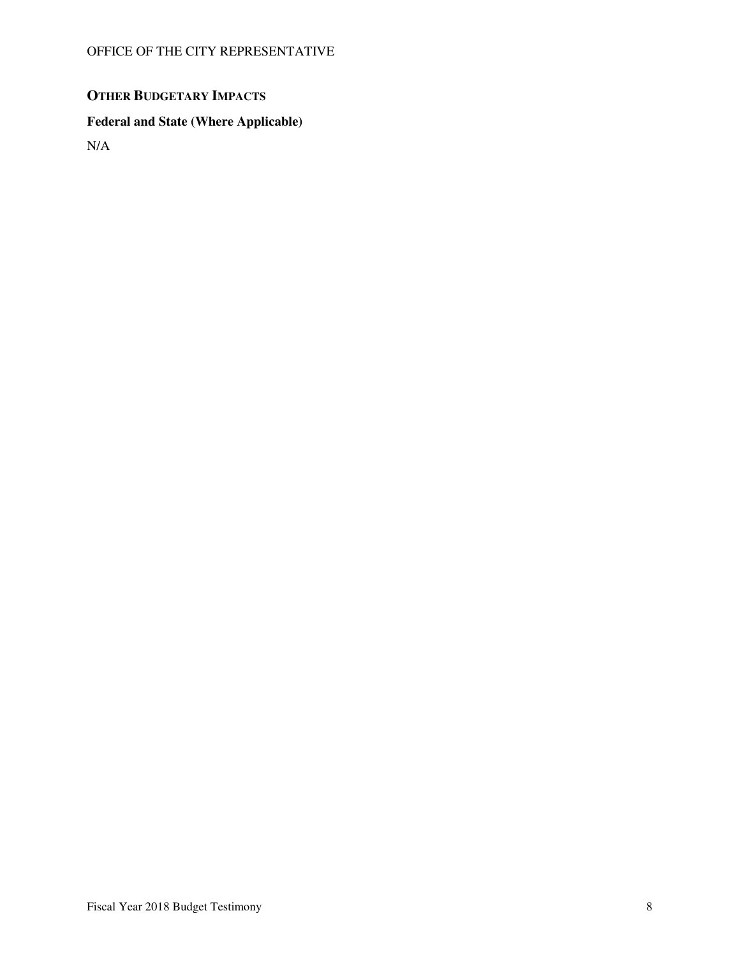# **OTHER BUDGETARY IMPACTS**

# **Federal and State (Where Applicable)**

N/A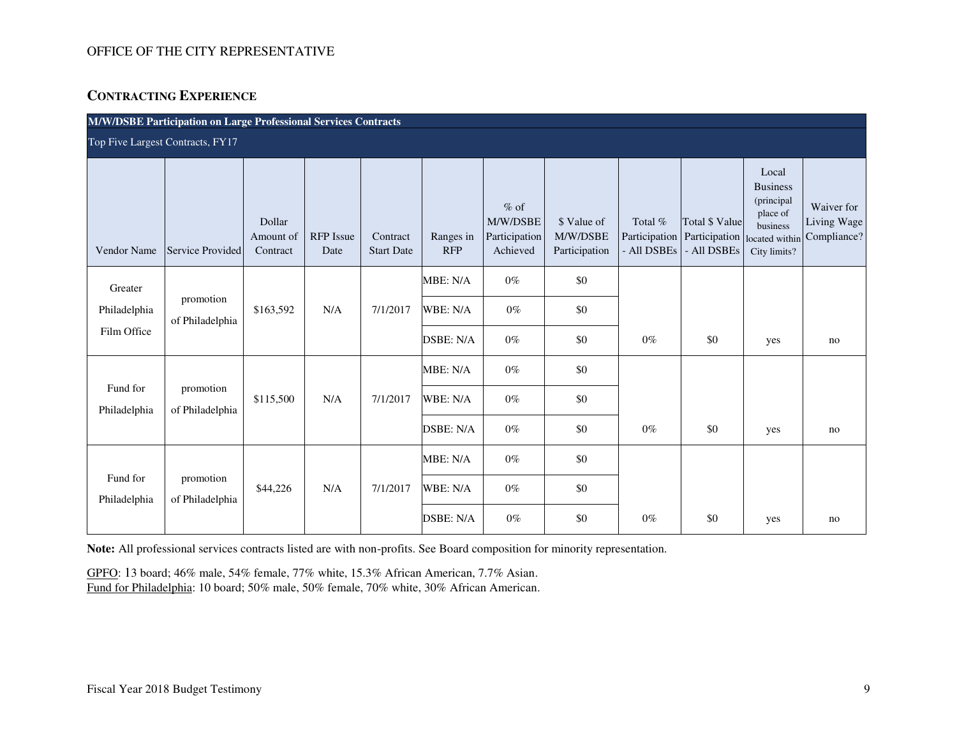## **CONTRACTING EXPERIENCE**

| M/W/DSBE Participation on Large Professional Services Contracts |                              |                                 |                          |                               |                                   |                                                 |                                          |                                         |                                                |                                                                                                  |                                          |
|-----------------------------------------------------------------|------------------------------|---------------------------------|--------------------------|-------------------------------|-----------------------------------|-------------------------------------------------|------------------------------------------|-----------------------------------------|------------------------------------------------|--------------------------------------------------------------------------------------------------|------------------------------------------|
| Top Five Largest Contracts, FY17                                |                              |                                 |                          |                               |                                   |                                                 |                                          |                                         |                                                |                                                                                                  |                                          |
| Vendor Name                                                     | Service Provided             | Dollar<br>Amount of<br>Contract | <b>RFP</b> Issue<br>Date | Contract<br><b>Start Date</b> | Ranges in<br><b>RFP</b>           | $%$ of<br>M/W/DSBE<br>Participation<br>Achieved | \$ Value of<br>M/W/DSBE<br>Participation | Total %<br>Participation<br>- All DSBEs | Total \$ Value<br>Participation<br>- All DSBEs | Local<br><b>Business</b><br>(principal<br>place of<br>business<br>located within<br>City limits? | Waiver for<br>Living Wage<br>Compliance? |
| Greater<br>Philadelphia<br>Film Office                          | promotion<br>of Philadelphia | \$163,592                       | N/A                      | 7/1/2017                      | MBE: N/A<br>WBE: N/A<br>DSBE: N/A | $0\%$<br>$0\%$<br>$0\%$                         | \$0<br>\$0<br>\$0                        | $0\%$                                   | \$0                                            | yes                                                                                              | no                                       |
| Fund for                                                        | promotion                    | \$115,500                       | N/A                      | 7/1/2017                      | MBE: N/A<br>WBE: N/A              | $0\%$<br>$0\%$                                  | \$0<br>\$0                               |                                         |                                                |                                                                                                  |                                          |
| Philadelphia                                                    | of Philadelphia              |                                 |                          |                               | DSBE: N/A                         | $0\%$                                           | \$0                                      | $0\%$                                   | \$0                                            | yes                                                                                              | no                                       |
| Fund for<br>Philadelphia                                        | promotion<br>of Philadelphia | \$44,226                        | N/A                      | 7/1/2017                      | MBE: N/A<br>WBE: N/A              | $0\%$<br>$0\%$                                  | \$0<br>\$0                               |                                         |                                                |                                                                                                  |                                          |
|                                                                 |                              |                                 |                          |                               | DSBE: N/A                         | $0\%$                                           | \$0                                      | $0\%$                                   | \$0                                            | yes                                                                                              | no                                       |

**Note:** All professional services contracts listed are with non-profits. See Board composition for minority representation.

GPFO: 13 board; 46% male, 54% female, 77% white, 15.3% African American, 7.7% Asian. Fund for Philadelphia: 10 board; 50% male, 50% female, 70% white, 30% African American.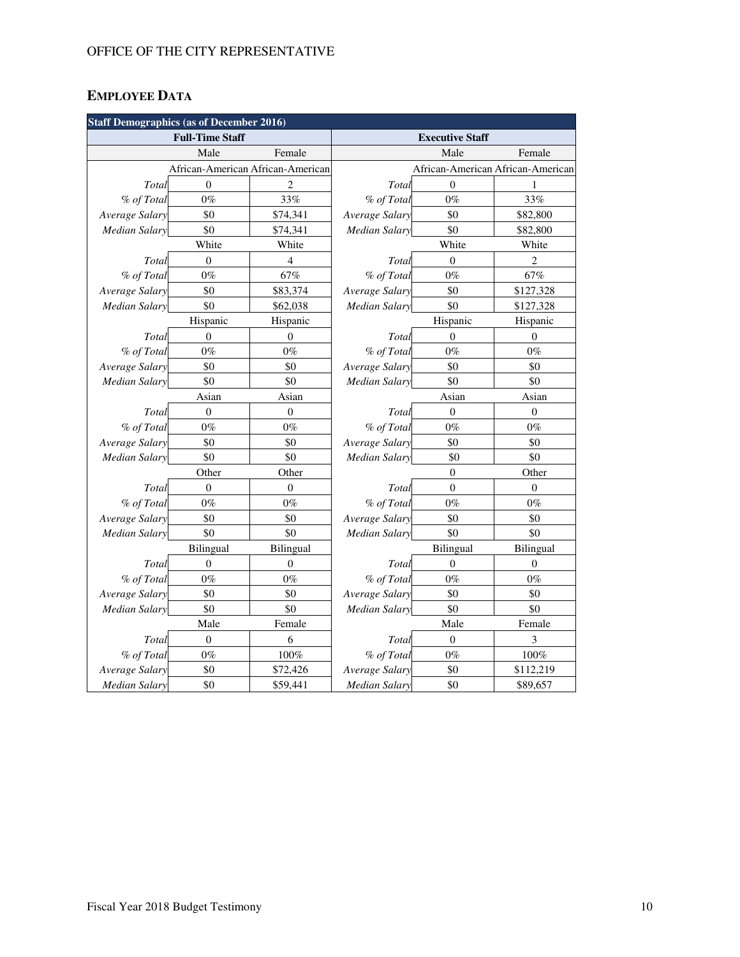# **EMPLOYEE DATA**

| <b>Staff Demographics (as of December 2016)</b> |                        |                  |                             |                |                                   |  |  |  |  |
|-------------------------------------------------|------------------------|------------------|-----------------------------|----------------|-----------------------------------|--|--|--|--|
|                                                 | <b>Full-Time Staff</b> |                  | <b>Executive Staff</b>      |                |                                   |  |  |  |  |
|                                                 | Male                   | Female           | Male<br>Female              |                |                                   |  |  |  |  |
| African-American African-American               |                        |                  |                             |                | African-American African-American |  |  |  |  |
| Total                                           | $\mathbf{0}$           | 2                | Total                       | $\mathbf{0}$   |                                   |  |  |  |  |
| % of Total                                      | $0\%$                  | 33%              | % of Total                  | $0\%$          | 33%                               |  |  |  |  |
| Average Salary                                  | \$0                    | \$74,341         | Average Salary              | \$0            | \$82,800                          |  |  |  |  |
| <b>Median Salary</b>                            | \$0                    | \$74,341         | <b>Median Salary</b>        | \$0            | \$82,800                          |  |  |  |  |
|                                                 | White                  | White            |                             | White          | White                             |  |  |  |  |
| Total                                           | $\Omega$               | $\overline{4}$   | Total                       | $\theta$       | $\overline{2}$                    |  |  |  |  |
| % of Total                                      | $0\%$                  | 67%              | % of Total                  | $0\%$          | 67%                               |  |  |  |  |
| Average Salary                                  | \$0                    | \$83,374         | Average Salary              | \$0            | \$127,328                         |  |  |  |  |
| Median Salary                                   | \$0                    | \$62,038         | <b>Median Salary</b>        | \$0            | \$127,328                         |  |  |  |  |
|                                                 | Hispanic               | Hispanic         |                             | Hispanic       | Hispanic                          |  |  |  |  |
| Total                                           | $\overline{0}$         | $\theta$         | Total                       | $\overline{0}$ | $\mathbf{0}$                      |  |  |  |  |
| % of Total                                      | $0\%$                  | $0\%$            | % of Total                  | $0\%$          | $0\%$                             |  |  |  |  |
| Average Salary                                  | \$0                    | \$0              | Average Salary              | \$0            | \$0                               |  |  |  |  |
| <b>Median Salary</b>                            | \$0                    | \$0              | <b>Median Salary</b>        | \$0            | \$0                               |  |  |  |  |
| Asian                                           |                        | Asian            |                             | Asian          | Asian                             |  |  |  |  |
| Total                                           | $\boldsymbol{0}$       | $\mathbf{0}$     | Total                       | $\mathbf{0}$   | $\boldsymbol{0}$                  |  |  |  |  |
| % of Total                                      | $0\%$                  | $0\%$            | % of Total                  | $0\%$          | $0\%$                             |  |  |  |  |
| Average Salary                                  | \$0                    | \$0              | Average Salary              | \$0            | \$0                               |  |  |  |  |
| <b>Median Salary</b>                            | \$0                    | \$0              | <b>Median Salary</b>        | \$0            | \$0                               |  |  |  |  |
|                                                 | Other                  | Other            |                             | $\overline{0}$ | Other                             |  |  |  |  |
| Total                                           | $\boldsymbol{0}$       | $\boldsymbol{0}$ | Total                       | $\mathbf{0}$   | $\mathbf{0}$                      |  |  |  |  |
| % of Total                                      | $0\%$                  | $0\%$            | % of Total                  | $0\%$          | $0\%$                             |  |  |  |  |
| Average Salary                                  | \$0                    | \$0              | Average Salary              | \$0            | \$0                               |  |  |  |  |
| <b>Median Salary</b>                            | \$0                    | \$0              | <b>Median Salary</b>        | \$0            | \$0                               |  |  |  |  |
|                                                 | Bilingual              | Bilingual        | Bilingual                   |                | Bilingual                         |  |  |  |  |
| Total                                           | $\overline{0}$         | $\theta$         | Total                       | $\overline{0}$ | $\mathbf{0}$                      |  |  |  |  |
| % of Total                                      | $0\%$                  | $0\%$            | % of Total                  | $0\%$          | $0\%$                             |  |  |  |  |
| Average Salary                                  | \$0                    | \$0              | Average Salary              | \$0            | \$0                               |  |  |  |  |
| <b>Median Salary</b>                            | \$0                    | \$0              | \$0<br><b>Median Salary</b> |                | \$0                               |  |  |  |  |
| Male<br>Female                                  |                        |                  |                             | Male           | Female                            |  |  |  |  |
| Total                                           | $\mathbf{0}$           | 6                | Total                       | $\overline{0}$ | 3                                 |  |  |  |  |
| % of Total                                      | $0\%$                  | 100%             | % of Total                  | $0\%$          | 100%                              |  |  |  |  |
| Average Salary                                  | \$0                    | \$72,426         | Average Salary              | \$0            | \$112,219                         |  |  |  |  |
| <b>Median Salary</b>                            | \$0                    | \$59,441         | <b>Median Salary</b>        | \$0            | \$89,657                          |  |  |  |  |